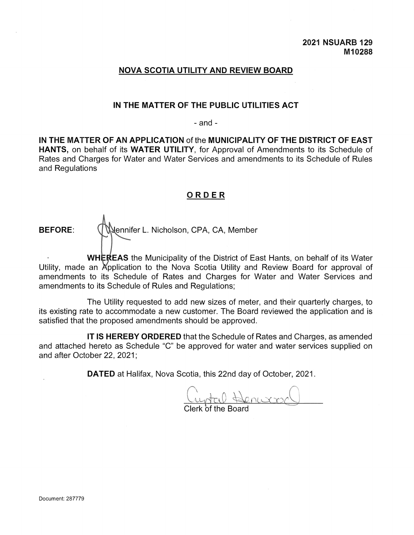# **NOVA SCOTIA UTILITY AND REVIEW BOARD**

# **IN THE MATTER OF THE PUBLIC UTILITIES ACT**

- and -

**IN THE MATTER OF AN APPLICATION** of the **MUNICIPALITY OF THE DISTRICT OF EAST HANTS,** on behalf of its **WATER UTILITY,** for Approval of Amendments to its Schedule of Rates and Charges for Water and Water Services and amendments to its Schedule of Rules and Regulations

# **ORD <sup>E</sup> R**

BEFORE: **Wennifer L. Nicholson, CPA, CA, Member** 

**• WHEREAS** the Municipality of the District of East Hants, on behalf of its Water Utility, made an Application to the Nova Scotia Utility and Review Board for approval of amendments to its Schedule of Rates and Charges for Water and Water Services and amendments to its Schedule of Rules and Regulations;

The Utility requested to add new sizes of meter, and their quarterly charges, to its existing rate to accommodate a new customer. The Board reviewed the application and is satisfied that the proposed amendments should be approved.

**IT IS HEREBY ORDERED** that the Schedule of Rates and Charges, as amended and attached hereto as Schedule "C" be approved for water and water services supplied on and after October 22, 2021;

**DATED** at Halifax, Nova Scotia, this 22nd day of October, 2021.

intal Henwar

Clerk of the Board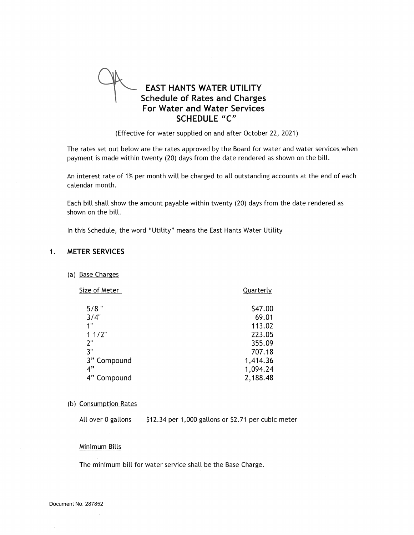

(Effective for water supplied on and after October 22, 2021)

The rates set out below are the rates approved by the Board for water and water services when payment is made within twenty (20) days from the date rendered as shown on the bill.

An interest rate of 1% per month will be charged to all outstanding accounts at the end of each calendar month.

Each bill shall show the amount payable within twenty (20) days from the date rendered as shown on the bill.

In this Schedule, the word "Utility" means the East Hants Water Utility

#### **1. METER SERVICES**

(a) Base Charges

| Size of Meter | Quarterly |
|---------------|-----------|
| $5/8$ "       | \$47.00   |
| 3/4"          | 69.01     |
| 1"            | 113.02    |
| 11/2"         | 223.05    |
| 2"            | 355.09    |
| 3"            | 707.18    |
| 3" Compound   | 1,414.36  |
| 4"            | 1,094.24  |
| 4" Compound   | 2,188.48  |
|               |           |

(b) Consumption Rates

All over 0 gallons \$12.34 per 1,000 gallons or \$2.71 per cubic meter

#### Minimum Bills

The minimum bill for water service shall be the Base Charge.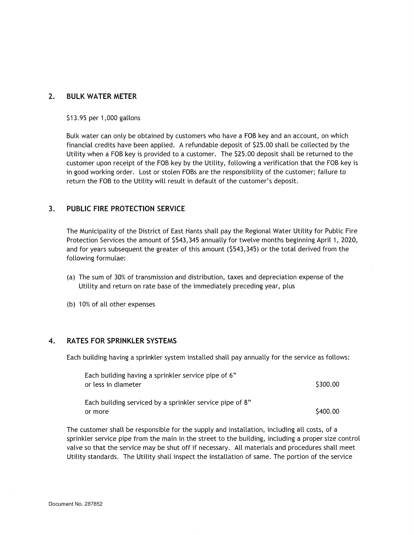### **2. BULK WATER METER**

#### \$13.95 per 1,000 gallons

Bulk water can only be obtained by customers who have a FOB key and an account, on which financial credits have been applied. A refundable deposit of \$25.00 shall be collected by the Utility when a FOB key is provided to a customer. The \$25.00 deposit shall be returned to the customer upon receipt of the FOB key by the Utility, following a verification that the FOB key is in good working order. Lost or stolen FOBs are the responsibility of the customer; failure to return the FOB to the Utility will result in default of the customer's deposit.

#### **3. PUBLIC FIRE PROTECTION SERVICE**

The Municipality of the District of East Hants shall pay the Regional Water Utility for Public Fire Protection Services the amount of \$543,345 annually for twelve months beginning April 1, 2020, and for years subsequent the greater of this amount (\$543,345) or the total derived from the following formulae:

- (a) The sum of 30% of transmission and distribution, taxes and depreciation expense of the Utility and return on rate base of the immediately preceding year, plus
- (b) 10% of all other expenses

#### **4. RATES FOR SPRINKLER SYSTEMS**

Each building having a sprinkler system installed shall pay annually for the service as follows:

| Each building having a sprinkler service pipe of 6"      |          |
|----------------------------------------------------------|----------|
| or less in diameter                                      | \$300.00 |
| Each building serviced by a sprinkler service pipe of 8" |          |
| or more                                                  | \$400.00 |

The customer shall be responsible for the supply and installation, including all costs, of <sup>a</sup> sprinkler service pipe from the main in the street to the building, including a proper size control valve so that the service may be shut off if necessary. All materials and procedures shall meet Utility standards. The Utility shall inspect the installation of same. The portion of the service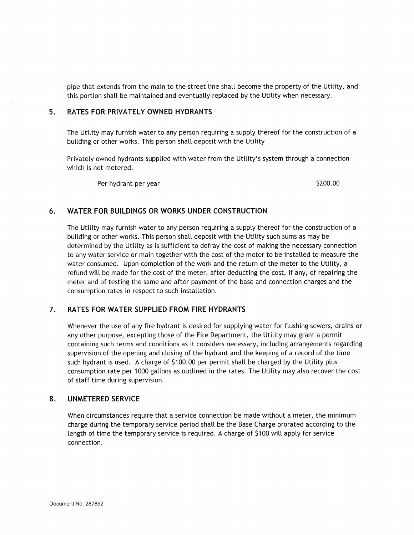pipe that extends from the main to the street line shall become the property of the Utility, and this portion shall be maintained and eventually replaced by the Utility when necessary.

# **5. RATES FOR PRIVATELY OWNED HYDRANTS**

The Utility may furnish water to any person requiring a supply thereof for the construction of a building or other works. This person shall deposit with the Utility

Privately owned hydrants supplied with water from the Utility's system through <sup>a</sup> connection which is not metered.

Per hydrant per year  $\frac{5200.00}{2000}$ 

### **6. WATER FOR BUILDINGS OR WORKS UNDER CONSTRUCTION**

The Utility may furnish water to any person requiring a supply thereof for the construction of a building or other works. This person shall deposit with the Utility such sums as may be determined by the Utility as is sufficient to defray the cost of making the necessary connection to any water service or main together with the cost of the meter to be installed to measure the water consumed. Upon completion of the work and the return of the meter to the Utility, a refund will be made for the cost of the meter, after deducting the cost, if any, of repairing the meter and of testing the same and after payment of the base and connection charges and the consumption rates in respect to such installation.

#### **7. RATES FOR WATER SUPPLIED FROM FIRE HYDRANTS**

Whenever the use of any fire hydrant is desired for supplying water for flushing sewers, drains or any other purpose, excepting those of the Fire Department, the Utility may grant a permit containing such terms and conditions as it considers necessary, including arrangements regarding supervision of the opening and closing of the hydrant and the keeping of a record of the time such hydrant is used. A charge of \$100.00 per permit shall be charged by the Utility plus consumption rate per 1000 gallons as outlined in the rates. The Utility may also recover the cost of staff time during supervision.

### **8. UNMETERED SERVICE**

When circumstances require that a service connection be made without a meter, the minimum charge during the temporary service period shall be the Base Charge prorated according to the length of time the temporary service is required. A charge of \$100 will apply for service connection.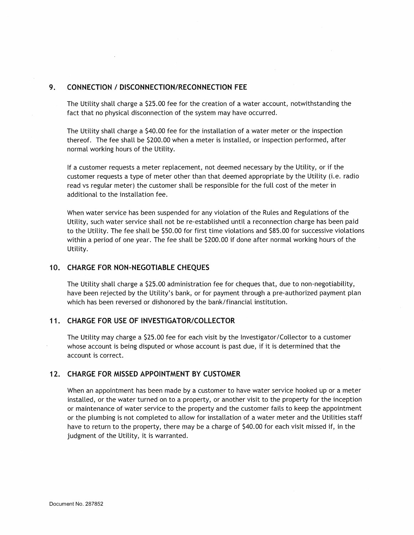# **9. CONNECTION / DISCONNECTION/RECONNECTION FEE**

The Utility shall charge a \$25.00 fee for the creation of a water account, notwithstanding the fact that no physical disconnection of the system may have occurred.

The Utility shall charge a \$40.00 fee for the installation of a water meter or the inspection thereof. The fee shall be \$200.00 when a meter is installed, or inspection performed, after normal working hours of the Utility.

If <sup>a</sup> customer requests <sup>a</sup> meter replacement, not deemed necessary by the Utility, or if the customer requests a type of meter other than that deemed appropriate by the Utility (i.e. radio read vs regular meter) the customer shall be responsible for the full cost of the meter in additional to the installation fee.

When water service has been suspended for any violation of the Rules and Regulations of the Utility, such water service shall not be re-established until a reconnection charge has been paid to the Utility. The fee shall be \$50.00 for first time violations and \$85.00 for successive violations within <sup>a</sup> period of one year. The fee shall be \$200.00 if done after normal working hours of the Utility.

### **10. CHARGE FOR NON-NEGOTIABLE CHEQUES**

The Utility shall charge a \$25.00 administration fee for cheques that, due to non-negotiability, have been rejected by the Utility's bank, or for payment through <sup>a</sup> pre-authorized payment plan which has been reversed or dishonored by the bank/financial institution.

### **11. CHARGE FOR USE OF INVESTIGATOR/COLLECTOR**

The Utility may charge a \$25.00 fee for each visit by the Investigator/Collector to a customer whose account is being disputed or whose account is past due, if it is determined that the account is correct.

#### **12. CHARGE FOR MISSED APPOINTMENT BY CUSTOMER**

When an appointment has been made by a customer to have water service hooked up or a meter installed, or the water turned on to a property, or another visit to the property for the inception or maintenance of water service to the property and the customer fails to keep the appointment or the plumbing is not completed to allow for installation of a water meter and the Utilities staff have to return to the property, there may be a charge of \$40.00 for each visit missed if, in the judgment of the Utility, it is warranted.